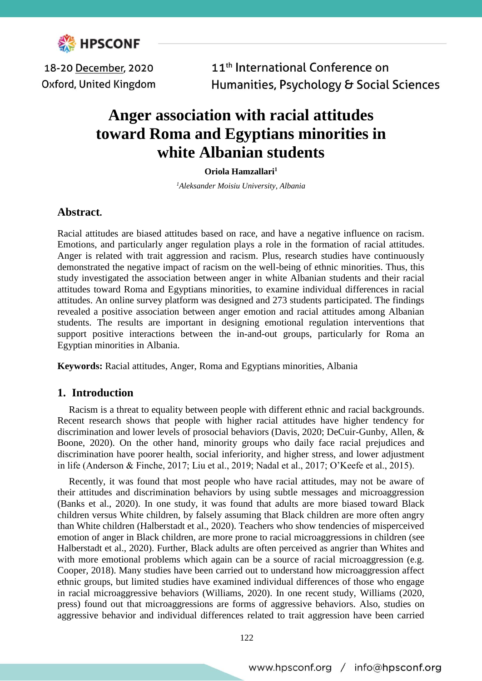

18-20 December, 2020 Oxford, United Kingdom

11<sup>th</sup> International Conference on Humanities, Psychology & Social Sciences

# **Anger association with racial attitudes toward Roma and Egyptians minorities in white Albanian students**

#### **Oriola Hamzallari<sup>1</sup>**

*<sup>1</sup>Aleksander Moisiu University, Albania*

## **Abstract.**

Racial attitudes are biased attitudes based on race, and have a negative influence on racism. Emotions, and particularly anger regulation plays a role in the formation of racial attitudes. Anger is related with trait aggression and racism. Plus, research studies have continuously demonstrated the negative impact of racism on the well-being of ethnic minorities. Thus, this study investigated the association between anger in white Albanian students and their racial attitudes toward Roma and Egyptians minorities, to examine individual differences in racial attitudes. An online survey platform was designed and 273 students participated. The findings revealed a positive association between anger emotion and racial attitudes among Albanian students. The results are important in designing emotional regulation interventions that support positive interactions between the in-and-out groups, particularly for Roma an Egyptian minorities in Albania.

**Keywords:** Racial attitudes, Anger, Roma and Egyptians minorities, Albania

## **1. Introduction**

Racism is a threat to equality between people with different ethnic and racial backgrounds. Recent research shows that people with higher racial attitudes have higher tendency for discrimination and lower levels of prosocial behaviors (Davis, 2020; DeCuir-Gunby, Allen, & Boone, 2020). On the other hand, minority groups who daily face racial prejudices and discrimination have poorer health, social inferiority, and higher stress, and lower adjustment in life (Anderson & Finche, 2017; Liu et al., 2019; Nadal et al., 2017; O'Keefe et al., 2015).

Recently, it was found that most people who have racial attitudes, may not be aware of their attitudes and discrimination behaviors by using subtle messages and microaggression (Banks et al., 2020). In one study, it was found that adults are more biased toward Black children versus White children, by falsely assuming that Black children are more often angry than White children (Halberstadt et al., 2020). Teachers who show tendencies of misperceived emotion of anger in Black children, are more prone to racial microaggressions in children (see Halberstadt et al., 2020). Further, Black adults are often perceived as angrier than Whites and with more emotional problems which again can be a source of racial microaggression (e.g. Cooper, 2018). Many studies have been carried out to understand how microaggression affect ethnic groups, but limited studies have examined individual differences of those who engage in racial microaggressive behaviors (Williams, 2020). In one recent study, Williams (2020, press) found out that microaggressions are forms of aggressive behaviors. Also, studies on aggressive behavior and individual differences related to trait aggression have been carried

122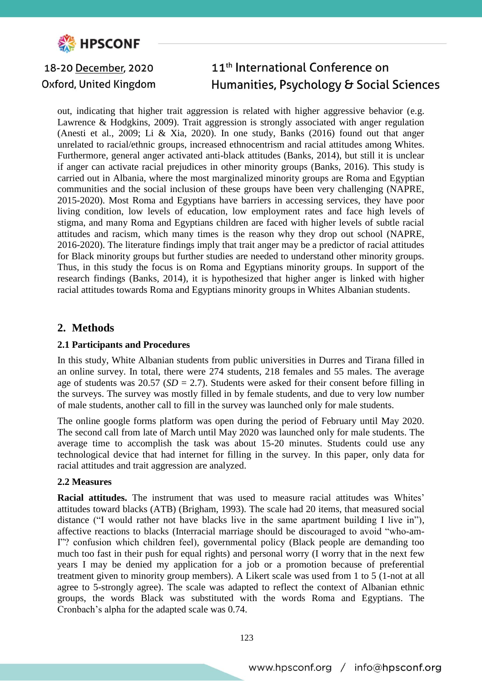

#### 11<sup>th</sup> International Conference on 18-20 December, 2020 Humanities, Psychology & Social Sciences Oxford, United Kingdom

out, indicating that higher trait aggression is related with higher aggressive behavior (e.g. Lawrence & Hodgkins, 2009). Trait aggression is strongly associated with anger regulation (Anesti et al., 2009; Li & Xia, 2020). In one study, Banks (2016) found out that anger unrelated to racial/ethnic groups, increased ethnocentrism and racial attitudes among Whites. Furthermore, general anger activated anti-black attitudes (Banks, 2014), but still it is unclear if anger can activate racial prejudices in other minority groups (Banks, 2016). This study is carried out in Albania, where the most marginalized minority groups are Roma and Egyptian communities and the social inclusion of these groups have been very challenging (NAPRE, 2015-2020). Most Roma and Egyptians have barriers in accessing services, they have poor living condition, low levels of education, low employment rates and face high levels of stigma, and many Roma and Egyptians children are faced with higher levels of subtle racial attitudes and racism, which many times is the reason why they drop out school (NAPRE, 2016-2020). The literature findings imply that trait anger may be a predictor of racial attitudes for Black minority groups but further studies are needed to understand other minority groups. Thus, in this study the focus is on Roma and Egyptians minority groups. In support of the research findings (Banks, 2014), it is hypothesized that higher anger is linked with higher racial attitudes towards Roma and Egyptians minority groups in Whites Albanian students.

## **2. Methods**

#### **2.1 Participants and Procedures**

In this study, White Albanian students from public universities in Durres and Tirana filled in an online survey. In total, there were 274 students, 218 females and 55 males. The average age of students was 20.57 (*SD* = 2.7). Students were asked for their consent before filling in the surveys. The survey was mostly filled in by female students, and due to very low number of male students, another call to fill in the survey was launched only for male students.

The online google forms platform was open during the period of February until May 2020. The second call from late of March until May 2020 was launched only for male students. The average time to accomplish the task was about 15-20 minutes. Students could use any technological device that had internet for filling in the survey. In this paper, only data for racial attitudes and trait aggression are analyzed.

#### **2.2 Measures**

**Racial attitudes.** The instrument that was used to measure racial attitudes was Whites' attitudes toward blacks (ATB) (Brigham, 1993). The scale had 20 items, that measured social distance ("I would rather not have blacks live in the same apartment building I live in"), affective reactions to blacks (Interracial marriage should be discouraged to avoid "who-am-I"? confusion which children feel), governmental policy (Black people are demanding too much too fast in their push for equal rights) and personal worry (I worry that in the next few years I may be denied my application for a job or a promotion because of preferential treatment given to minority group members). A Likert scale was used from 1 to 5 (1-not at all agree to 5-strongly agree). The scale was adapted to reflect the context of Albanian ethnic groups, the words Black was substituted with the words Roma and Egyptians. The Cronbach's alpha for the adapted scale was 0.74.

123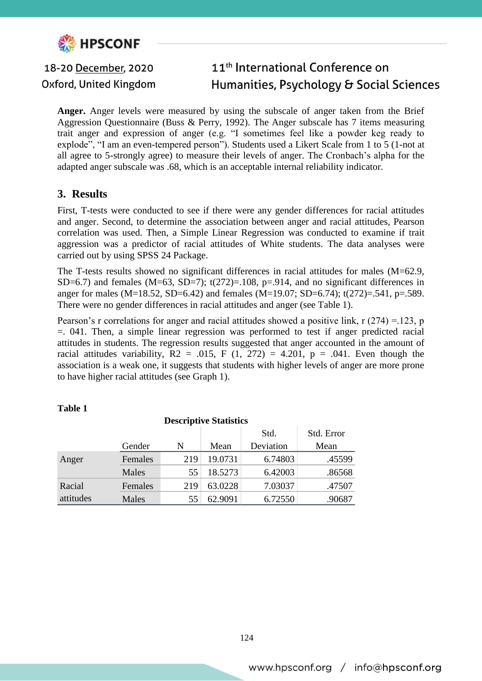

#### 11<sup>th</sup> International Conference on 18-20 December, 2020 Oxford, United Kingdom Humanities, Psychology & Social Sciences

**Anger.** Anger levels were measured by using the subscale of anger taken from the Brief Aggression Questionnaire (Buss & Perry, 1992). The Anger subscale has 7 items measuring trait anger and expression of anger (e.g. "I sometimes feel like a powder keg ready to explode", "I am an even-tempered person"). Students used a Likert Scale from 1 to 5 (1-not at all agree to 5-strongly agree) to measure their levels of anger. The Cronbach's alpha for the adapted anger subscale was .68, which is an acceptable internal reliability indicator.

## **3. Results**

First, T-tests were conducted to see if there were any gender differences for racial attitudes and anger. Second, to determine the association between anger and racial attitudes, Pearson correlation was used. Then, a Simple Linear Regression was conducted to examine if trait aggression was a predictor of racial attitudes of White students. The data analyses were carried out by using SPSS 24 Package.

The T-tests results showed no significant differences in racial attitudes for males (M=62.9, SD=6.7) and females (M=63, SD=7);  $t(272)=.108$ ,  $p=.914$ , and no significant differences in anger for males (M=18.52, SD=6.42) and females (M=19.07; SD=6.74);  $t(272)=.541$ , p=.589. There were no gender differences in racial attitudes and anger (see Table 1).

Pearson's r correlations for anger and racial attitudes showed a positive link, r (274) =.123, p =. 041. Then, a simple linear regression was performed to test if anger predicted racial attitudes in students. The regression results suggested that anger accounted in the amount of racial attitudes variability,  $R2 = .015$ , F  $(1, 272) = 4.201$ , p = .041. Even though the association is a weak one, it suggests that students with higher levels of anger are more prone to have higher racial attitudes (see Graph 1).

| <b>Descriptive Statistics</b> |         |     |         |           |            |
|-------------------------------|---------|-----|---------|-----------|------------|
|                               |         |     |         | Std.      | Std. Error |
|                               | Gender  | N   | Mean    | Deviation | Mean       |
| Anger                         | Females | 219 | 19.0731 | 6.74803   | .45599     |
|                               | Males   | 55  | 18.5273 | 6.42003   | .86568     |
| Racial                        | Females | 219 | 63.0228 | 7.03037   | .47507     |
| attitudes                     | Males   | 55  | 62.9091 | 6.72550   | .90687     |

#### **Table 1**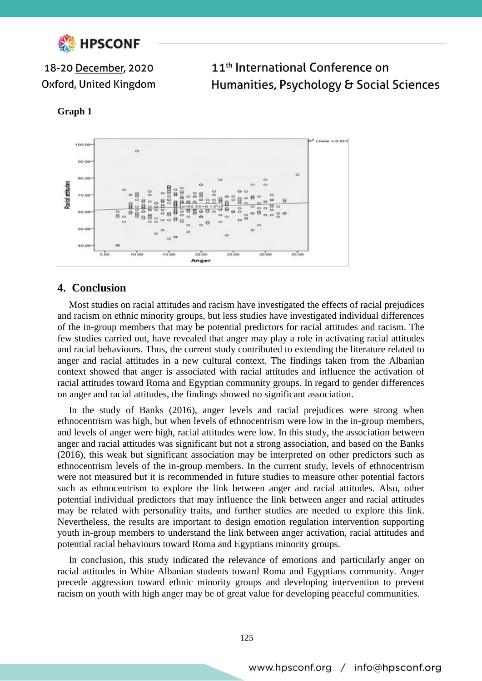

18-20 December, 2020 Oxford, United Kingdom

11<sup>th</sup> International Conference on Humanities, Psychology & Social Sciences

#### **Graph 1**



## **4. Conclusion**

Most studies on racial attitudes and racism have investigated the effects of racial prejudices and racism on ethnic minority groups, but less studies have investigated individual differences of the in-group members that may be potential predictors for racial attitudes and racism. The few studies carried out, have revealed that anger may play a role in activating racial attitudes and racial behaviours. Thus, the current study contributed to extending the literature related to anger and racial attitudes in a new cultural context. The findings taken from the Albanian context showed that anger is associated with racial attitudes and influence the activation of racial attitudes toward Roma and Egyptian community groups. In regard to gender differences on anger and racial attitudes, the findings showed no significant association.

In the study of Banks (2016), anger levels and racial prejudices were strong when ethnocentrism was high, but when levels of ethnocentrism were low in the in-group members, and levels of anger were high, racial attitudes were low. In this study, the association between anger and racial attitudes was significant but not a strong association, and based on the Banks (2016), this weak but significant association may be interpreted on other predictors such as ethnocentrism levels of the in-group members. In the current study, levels of ethnocentrism were not measured but it is recommended in future studies to measure other potential factors such as ethnocentrism to explore the link between anger and racial attitudes. Also, other potential individual predictors that may influence the link between anger and racial attitudes may be related with personality traits, and further studies are needed to explore this link. Nevertheless, the results are important to design emotion regulation intervention supporting youth in-group members to understand the link between anger activation, racial attitudes and potential racial behaviours toward Roma and Egyptians minority groups.

In conclusion, this study indicated the relevance of emotions and particularly anger on racial attitudes in White Albanian students toward Roma and Egyptians community. Anger precede aggression toward ethnic minority groups and developing intervention to prevent racism on youth with high anger may be of great value for developing peaceful communities.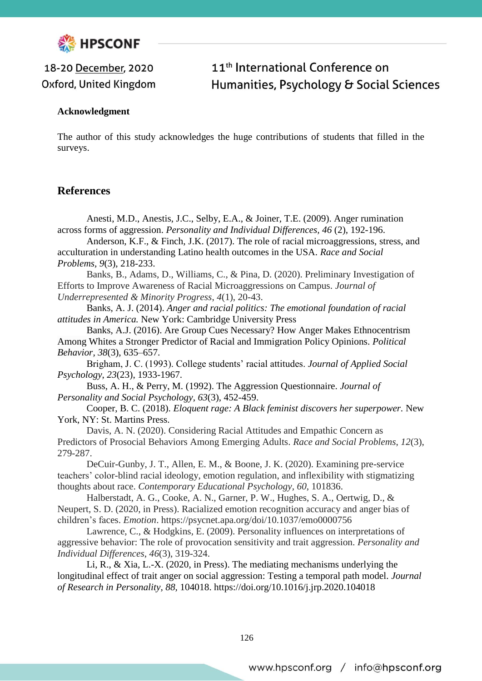

# 18-20 December, 2020 Oxford, United Kingdom

# 11<sup>th</sup> International Conference on Humanities, Psychology & Social Sciences

### **Acknowledgment**

The author of this study acknowledges the huge contributions of students that filled in the surveys.

## **References**

Anesti, M.D., Anestis, J.C., Selby, E.A., & Joiner, T.E. (2009). Anger rumination across forms of aggression. *Personality and Individual Differences, 46* (2), 192-196.

Anderson, K.F., & Finch, J.K. (2017). The role of racial microaggressions, stress, and acculturation in understanding Latino health outcomes in the USA. *Race and Social Problems, 9*(3), 218-233.

Banks, B., Adams, D., Williams, C., & Pina, D. (2020). Preliminary Investigation of Efforts to Improve Awareness of Racial Microaggressions on Campus. *Journal of Underrepresented & Minority Progress*, *4*(1), 20-43.

Banks, A. J. (2014). *Anger and racial politics: The emotional foundation of racial attitudes in America.* New York: Cambridge University Press

Banks, A.J. (2016). Are Group Cues Necessary? How Anger Makes Ethnocentrism Among Whites a Stronger Predictor of Racial and Immigration Policy Opinions. *Political Behavior, 38*(3), 635–657.

Brigham, J. C. (1993). College students' racial attitudes. *Journal of Applied Social Psychology*, *23*(23), 1933-1967.

Buss, A. H., & Perry, M. (1992). The Aggression Questionnaire. *Journal of Personality and Social Psychology*, *63*(3), 452-459.

Cooper, B. C. (2018). *Eloquent rage: A Black feminist discovers her superpower.* New York, NY: St. Martins Press.

Davis, A. N. (2020). Considering Racial Attitudes and Empathic Concern as Predictors of Prosocial Behaviors Among Emerging Adults. *Race and Social Problems*, *12*(3), 279-287.

DeCuir-Gunby, J. T., Allen, E. M., & Boone, J. K. (2020). Examining pre-service teachers' color-blind racial ideology, emotion regulation, and inflexibility with stigmatizing thoughts about race. *Contemporary Educational Psychology*, *60*, 101836.

Halberstadt, A. G., Cooke, A. N., Garner, P. W., Hughes, S. A., Oertwig, D., & Neupert, S. D. (2020, in Press). Racialized emotion recognition accuracy and anger bias of children's faces. *Emotion*. https://psycnet.apa.org/doi/10.1037/emo0000756

Lawrence, C., & Hodgkins, E. (2009). Personality influences on interpretations of aggressive behavior: The role of provocation sensitivity and trait aggression. *Personality and Individual Differences*, *46*(3), 319-324.

Li, R., & Xia, L.-X. (2020, in Press). The mediating mechanisms underlying the longitudinal effect of trait anger on social aggression: Testing a temporal path model*. Journal of Research in Personality, 88,* 104018. https://doi.org/10.1016/j.jrp.2020.104018